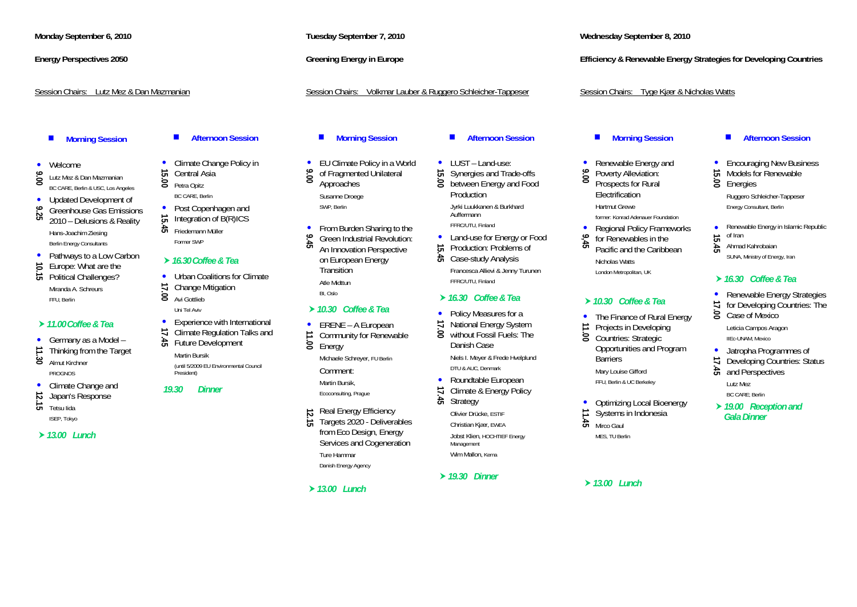### **Monday September 6, 2010**

### **Energy Perspectives 2050**

### Session Chairs: Lutz Mez & Dan Mazmanian

### $\blacksquare$ **Morning Session**

- Welcome
- **9.0** Lutz Mez & Dan Mazmanian<br>BC CARE, Berlin & USC, Los Angeles
- 
- •
- **9.** Updated Development of Greenhouse Gas Emissions 2010 Delusions & Reality Hans-Joachim Ziesing Berlin Energy Consultants
- Pathways to a Low Carbon
- **10.15** Europe: What are the **10.15** Political Challenges?
- 
- Miranda A. Schreurs FFU, Berlin

### h*11.00 Coffee & Tea*

- **11.30** Germany as a Model –<br>Thinking from the Target
- 
- Almut Kirchner PROGNOS
- Climate Change and
- **12.15** Japan's Response
- $\overrightarrow{G}$  Tetsu lida ISEP, Tokyo
- h*13.00 Lunch*

### $\blacksquare$ **Afternoon Session**

- $\bullet$ **15.000 Climate Change Policy in**<br> **15.00 Central Asia**<br> **15.00** Petra Opitz
- 
- BC CARE, Berlin • Post Copenhagen and
- 
- **15.** Integration of B(R)ICS<br> **15.** Friedemann Müller Former SWP

### h*16.30 Coffee & Tea*

- • Urban Coalitions for Climate<br>  $\vec{\phantom{a}}$  Change Mitigation
- 8 Avi Gottlieb
- Uni Tel Aviv•
- Experience with International<br> **17.45** Euture Development<br>
Future Development
- 
- Martin Bursik (until 5/2009 EU Environmental Council President)

### *19.30 Dinner*

Ecoconsulting, Prague

•

•

**12.15 Real Energy Efficiency**<br>
<del>12.</del>1 Targets 2020 - Deliverables from Eco Design, Energy Services and Cogeneration Ture Hammar

**Tuesday September 7, 2010** 

**Greening Energy in Europe** 

**Morning Session** 

• EU Climate Policy in a World<br> **9** of Fragmented Unilateral<br> **9** Approaches

**9.45 • From Burden Sharing to the Green Industrial Revolution:**  $\frac{1}{\sqrt{2}}$  An Innovation Perspective

on European Energy **Transition** Atle Midttun BI, Oslo

h*10.30 Coffee & Tea* • ERENE - A European **11.100** Community for Renewable<br>■ Energy Michaele Schreyer, FU Berlin

Susanne Droege SWP, Berlin

Danish Energy Agency

Comment: Martin Bursik,

### $\blacksquare$ **Afternoon Session**

Session Chairs: Volkmar Lauber & Ruggero Schleicher-Tappeser

- LUST Land-use:
- 5.000 Synergies and Trade-offs<br> **19.000** between Energy and Food Production Jyrki Luukkanen & Burkhard Auffermann FFRC/UTU, Finland
- Land-use for Energy or Food<br>
<del>5</del> Production: Problems of<br>
<del>5</del> Case-study Analysis
- 
- Francesca Allievi & Jenny Turunen FFRC/UTU, Finland

### h*16.30 Coffee & Tea*

- • Policy Measures for a<br> **17.000** National Energy System<br> **8.000** without Fossil Fuels: The
- 
- Danish Case Niels I. Meyer & Frede Hvelplund DTU & AUC, Denmark
- •
- Roundtable European<br> **17.45** Climate & Energy Policy<br>
Strategy
- Olivier Drücke, ESTIF
- Christian Kjær, EWEA Jobst Klien, HOCHTIEF Energy Management

Wim Mallon, Kema

### h*19.30 Dinner*

h*13.00 Lunch* h*13.00 Lunch* 

**Wednesday September 8, 2010** 

**Efficiency & Renewable Energy Strategies for Developing Countries** 

### Session Chairs: Tyge Kjær & Nicholas Watts

### **Morning Session**

- •
- **9.000 Renewable Energy and Poverty Alleviation:** Prospects for Rural Electrification

Hartmut Grewe former: Konrad Adenauer Foundation

•

Nicholas Watts London Metropolitan, UK

### h*10.30 Coffee & Tea*

- The Finance of Rural Energy
- **11.000 Projects in Developing**<br> **12.000 The Finance Of Countries: Strategic**
- Opportunities and Program Barriers Mary Louise Gifford

FFU, Berlin & UC Berkeley

- **11.45** Optimizing Local Bioenergy<br>Systems in Indonesia
- 
- $\ddot{a}$  Mirco Gaul
- 

MES, TU Berlin

**15.000 Pencouraging New Business**<br>
<del>15.</del>00 Models for Renewable<br> **15.000 Energies** 

**Afternoon Session** 

П

 $\bullet$ 

Ruggero Schleicher-Tappeser Energy Consultant, Berlin

- **15.45** Renewable Energy in Islamic Republic<br> **15.45** Ahmad Kahrobaian<br> **15.45** Ahmad Kahrobaian
- 
- SUNA, Ministry of Energy, Iran

### h*16.30 Coffee & Tea*

- Renewable Energy Strategies
- **17.000** For Developing Countries: The Case of Mexico
	- Leticia Campos Aragon

IIEc-UNAM, Mexico

- Jatropha Programmes of
- 17.45 Developing Countries: Status **and Perspectives**

Lutz Mez BC CARE; Berlin

**▶ 19.00 Reception and** *Gala Dinner*

# **9,45 Policy Frameworks**<br>**19,45 <sup>b</sup> Pacific and the Caribbean**